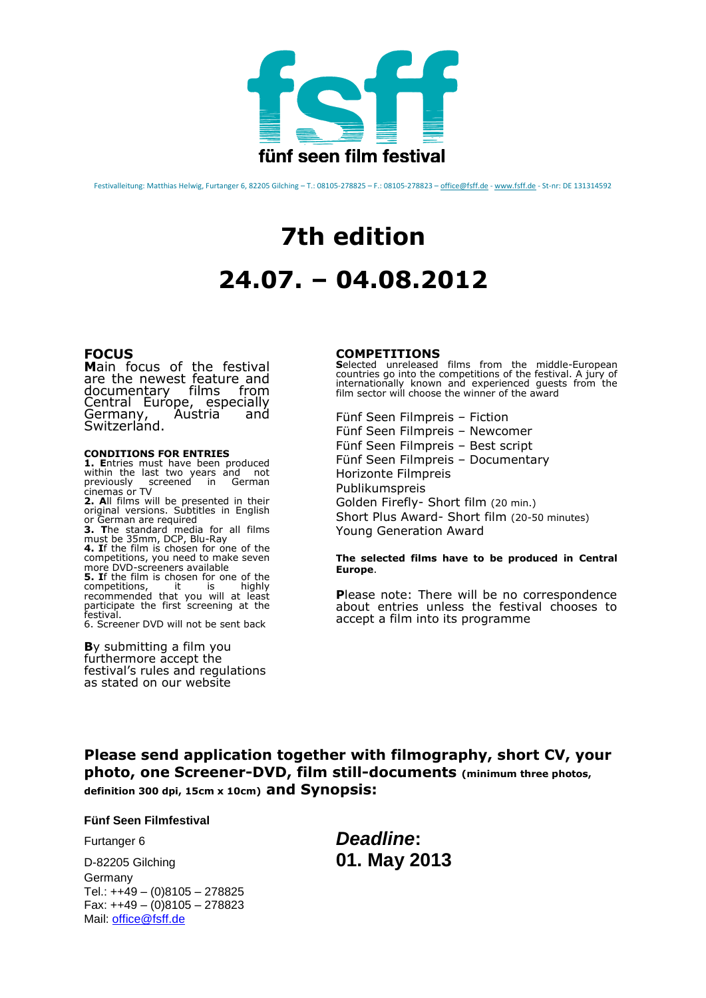

Festivalleitung: Matthias Helwig, Furtanger 6, 82205 Gilching - T.: 08105-278825 - F.: 08105-278823 - office@fsff.de - www.fsff.de - St-nr: DE 131314592

# **7th edition 24.07. – 04.08.2012**

## **FOCUS**

**M**ain focus of the festival are the newest feature and documentary films from<br>Central Europe, especially<br>Germany, Austria and Germany, Austria and Switzerland.

### **CONDITIONS FOR ENTRIES**

**1. E**ntries must have been produced within the last two years and not previously screened in German cinemas or TV **2. A**ll films will be presented in their original versions. Subtitles in English or German are required **3. T**he standard media for all films must be 35mm, DCP, Blu-Ray **4. I**f the film is chosen for one of the competitions, you need to make seven more DVD-screeners available **5.** If the film is chosen for one of the competitions. <br>it is highly competitions, it is highly recommended that you will at least participate the first screening at the

festival. 6. Screener DVD will not be sent back

#### **B**y submitting a film you furthermore accept the festival's rules and regulations as stated on our website

#### **COMPETITIONS**

**S**elected unreleased films from the middle-European countries go into the competitions of the festival. A jury of internationally known and experienced guests from the film sector will choose the winner of the award

Fünf Seen Filmpreis – Fiction Fünf Seen Filmpreis – Newcomer Fünf Seen Filmpreis – Best script Fünf Seen Filmpreis – Documentary Horizonte Filmpreis Publikumspreis Golden Firefly- Short film (20 min.) Short Plus Award- Short film (20-50 minutes) Young Generation Award

**The selected films have to be produced in Central Europe**.

**P**lease note: There will be no correspondence about entries unless the festival chooses to accept a film into its programme

**Please send application together with filmography, short CV, your photo, one Screener-DVD, film still-documents (minimum three photos, definition 300 dpi, 15cm x 10cm) and Synopsis:** 

**Fünf Seen Filmfestival** 

D-82205 Gilching **01. May 2013** Germany Tel.: ++49 – (0)8105 – 278825 Fax: ++49 – (0)8105 – 278823 Mail: [office@fsff.de](mailto:office@fsff.de)

Furtanger 6 *Deadline***:**